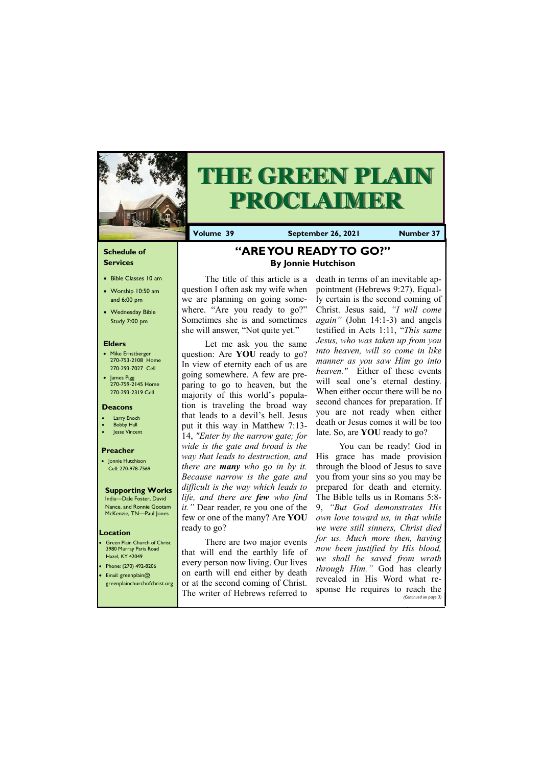#### **Schedule of Services**

- Bible Classes 10 am
- Worship 10:50 am and 6:00 pm
- Wednesday Bible Study 7:00 pm

#### **Elders**

- Mike Ernstberger 270-753-2108 Home 270-293-7027 Cell
- James Pigg 270-759-2145 Home 270-293-2319 Cell

**Green Plain Church of Christ** 3980 Murray Paris Road Hazel, KY 42049 • Phone: (270) 492-8206 • Email: greenplain@



# **THE GREEN PLAIN PROCLAIMER**

#### **Location**

**Volume 39 September 26, 2021 Number 37**

#### **Deacons**

- Larry Enoch
- **Bobby Hall**
- Jesse Vincent

#### **Preacher**

• Jonnie Hutchison Cell: 270-978-7569

#### **Supporting Works**

India—Dale Foster, David Nance. and Ronnie Gootam McKenzie, TN—Paul Jones

## **"ARE YOU READY TO GO?" By Jonnie Hutchison**

The title of this article is a question I often ask my wife when we are planning on going somewhere. "Are you ready to go?" Sometimes she is and sometimes she will answer, "Not quite yet."

> You can be ready! God in His grace has made provision through the blood of Jesus to save you from your sins so you may be prepared for death and eternity. The Bible tells us in Romans 5:8- 9, *"But God demonstrates His own love toward us, in that while we were still sinners, Christ died for us. Much more then, having now been justified by His blood, we shall be saved from wrath through Him."* God has clearly relad in His Word what

Let me ask you the same question: Are **YOU** ready to go? In view of eternity each of us are going somewhere. A few are preparing to go to heaven, but the majority of this world's population is traveling the broad way that leads to a devil's hell. Jesus put it this way in Matthew 7:13- 14, *"Enter by the narrow gate; for wide is the gate and broad is the way that leads to destruction, and there are many who go in by it. Because narrow is the gate and difficult is the way which leads to life, and there are few who find it.* " Dear reader, re you one of the few or one of the many? Are **YOU** ready to go?

| greenplainchurchofchrist.org or at the second coming of Christ. | revealed in fils word what re-                           |
|-----------------------------------------------------------------|----------------------------------------------------------|
| The writer of Hebrews referred to                               | sponse He requires to reach the<br>(Continued on page 3) |
|                                                                 |                                                          |

There are two major events that will end the earthly life of every person now living. Our lives on earth will end either by death

death in terms of an inevitable appointment (Hebrews 9:27). Equally certain is the second coming of Christ. Jesus said, *"I will come again"* (John 14:1-3) and angels testified in Acts 1:11, "*This same Jesus, who was taken up from you into heaven, will so come in like manner as you saw Him go into heaven."* Either of these events will seal one's eternal destiny. When either occur there will be no second chances for preparation. If you are not ready when either death or Jesus comes it will be too late. So, are **YOU** ready to go?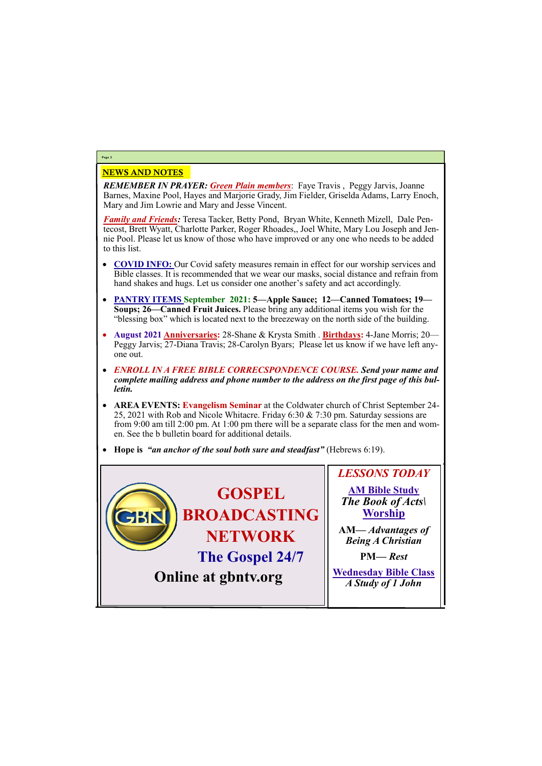### NEWS AND NOTES

*REMEMBER IN PRAYER: Green Plain members*: Faye Travis , Peggy Jarvis, Joanne Barnes, Maxine Pool, Hayes and Marjorie Grady, Jim Fielder, Griselda Adams, Larry Enoch, Mary and Jim Lowrie and Mary and Jesse Vincent.

*Family and Friends:* Teresa Tacker, Betty Pond, Bryan White, Kenneth Mizell, Dale Pentecost, Brett Wyatt, Charlotte Parker, Roger Rhoades,, Joel White, Mary Lou Joseph and Jennie Pool. Please let us know of those who have improved or any one who needs to be added to this list.

- **COVID INFO:** Our Covid safety measures remain in effect for our worship services and Bible classes. It is recommended that we wear our masks, social distance and refrain from hand shakes and hugs. Let us consider one another's safety and act accordingly.
- **PANTRY ITEMS September 2021: 5—Apple Sauce; 12—Canned Tomatoes; 19— Soups; 26—Canned Fruit Juices.** Please bring any additional items you wish for the "blessing box" which is located next to the breezeway on the north side of the building.
- **August 2021 Anniversaries:** 28-Shane & Krysta Smith . **Birthdays:** 4-Jane Morris; 20— Peggy Jarvis; 27-Diana Travis; 28-Carolyn Byars; Please let us know if we have left anyone out.
- *ENROLL IN A FREE BIBLE CORRECSPONDENCE COURSE. Send your name and complete mailing address and phone number to the address on the first page of this bulletin.*
- **AREA EVENTS: Evangelism Seminar** at the Coldwater church of Christ September 24- 25, 2021 with Rob and Nicole Whitacre. Friday 6:30 & 7:30 pm. Saturday sessions are from 9:00 am till 2:00 pm. At 1:00 pm there will be a separate class for the men and women. See the b bulletin board for additional details.
- **Hope is** *"an anchor of the soul both sure and steadfast"* (Hebrews 6:19).

## **Page 2**

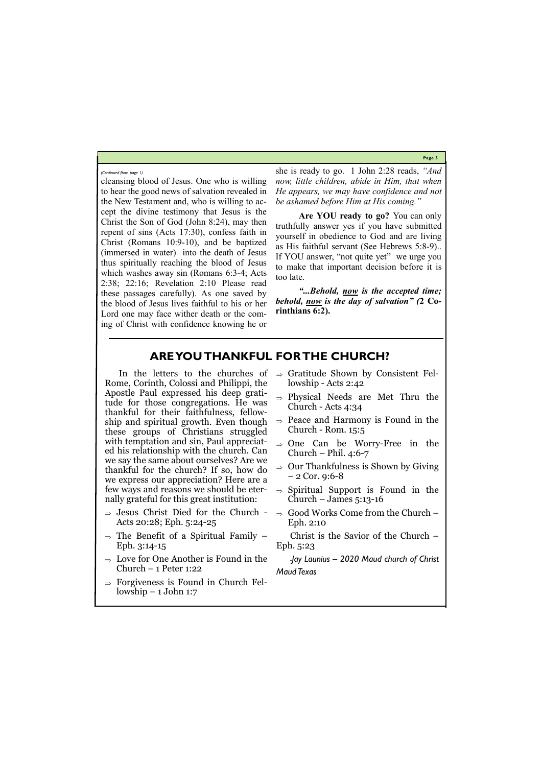**Page 3**

cleansing blood of Jesus. One who is willing to hear the good news of salvation revealed in the New Testament and, who is willing to accept the divine testimony that Jesus is the Christ the Son of God (John 8:24), may then repent of sins (Acts 17:30), confess faith in Christ (Romans 10:9-10), and be baptized (immersed in water) into the death of Jesus thus spiritually reaching the blood of Jesus which washes away sin (Romans 6:3-4; Acts 2:38; 22:16; Revelation 2:10 Please read these passages carefully). As one saved by the blood of Jesus lives faithful to his or her Lord one may face wither death or the coming of Christ with confidence knowing he or she is ready to go. 1 John 2:28 reads, *"And now, little children, abide in Him, that when He appears, we may have confidence and not be ashamed before Him at His coming."* 

**Are YOU ready to go?** You can only truthfully answer yes if you have submitted yourself in obedience to God and are living as His faithful servant (See Hebrews 5:8-9).. If YOU answer, "not quite yet" we urge you to make that important decision before it is too late.

- $\Rightarrow$  Jesus Christ Died for the Church -Acts 20:28; Eph. 5:24-25
- $\Rightarrow$  The Benefit of a Spiritual Family Eph. 3:14-15
- $\Rightarrow$  Love for One Another is Found in the Church – 1 Peter 1:22
- 

 $\Rightarrow$  Forgiveness is Found in Church Fellowship – 1 John 1:7

*"...Behold, now is the accepted time; behold, now is the day of salvation" (***2 Corinthians 6:2).**

- $\Rightarrow$  Gratitude Shown by Consistent Fellowship - Acts 2:42
- $\Rightarrow$  Physical Needs are Met Thru the Church - Acts 4:34
- $\Rightarrow$  Peace and Harmony is Found in the Church - Rom. 15:5
- $\Rightarrow$  One Can be Worry-Free in the Church – Phil.  $4:6-7$
- $\Rightarrow$  Our Thankfulness is Shown by Giving  $-2$  Cor. 9:6-8
- $\Rightarrow$  Spiritual Support is Found in the Church – James  $5:13-16$
- $\Rightarrow$  Good Works Come from the Church Eph. 2:10

*(Continued from page 1)*

## **ARE YOU THANKFUL FOR THE CHURCH?**

In the letters to the churches of Rome, Corinth, Colossi and Philippi, the Apostle Paul expressed his deep gratitude for those congregations. He was thankful for their faithfulness, fellowship and spiritual growth. Even though these groups of Christians struggled with temptation and sin, Paul appreciated his relationship with the church. Can we say the same about ourselves? Are we thankful for the church? If so, how do we express our appreciation? Here are a few ways and reasons we should be eternally grateful for this great institution:

> Christ is the Savior of the Church – Eph. 5:23

> *-Jay Launius – 2020 Maud church of Christ Maud Texas*